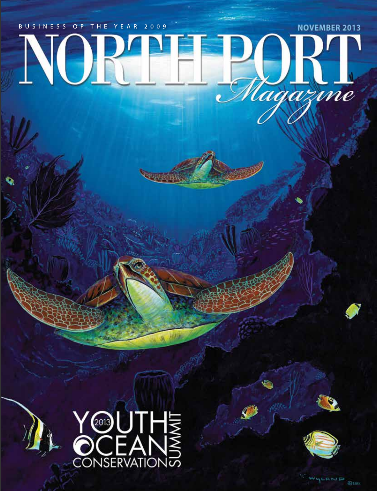## BUSINESS OF THE YEAR 2009 **NOVEMBER 2013** NORTH Magazine

开开的中





WLAND @zou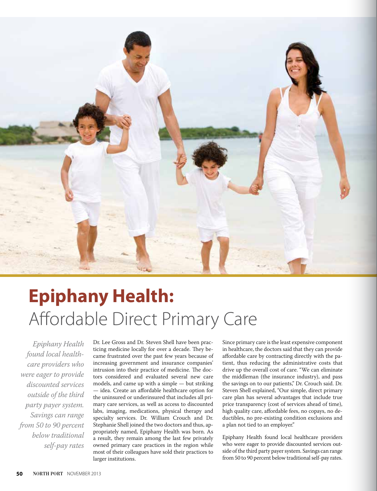

## **Epiphany Health:** Affordable Direct Primary Care

*Epiphany Health found local healthcare providers who were eager to provide discounted services outside of the third party payer system. Savings can range from 50 to 90 percent below traditional self-pay rates*

Dr. Lee Gross and Dr. Steven Shell have been practicing medicine locally for over a decade. They became frustrated over the past few years because of increasing government and insurance companies' intrusion into their practice of medicine. The doctors considered and evaluated several new care models, and came up with a simple — but striking — idea. Create an affordable healthcare option for the uninsured or underinsured that includes all primary care services, as well as access to discounted labs, imaging, medications, physical therapy and specialty services. Dr. William Crouch and Dr. Stephanie Shell joined the two doctors and thus, appropriately named, Epiphany Health was born. As a result, they remain among the last few privately owned primary care practices in the region while most of their colleagues have sold their practices to larger institutions.

Since primary care is the least expensive component in healthcare, the doctors said that they can provide affordable care by contracting directly with the patient, thus reducing the administrative costs that drive up the overall cost of care. "We can eliminate the middleman (the insurance industry), and pass the savings on to our patients," Dr. Crouch said. Dr. Steven Shell explained, "Our simple, direct primary care plan has several advantages that include true price transparency (cost of services ahead of time), high quality care, affordable fees, no copays, no deductibles, no pre-existing condition exclusions and a plan not tied to an employer."

Epiphany Health found local healthcare providers who were eager to provide discounted services outside of the third party payer system. Savings can range from 50 to 90 percent below traditional self-pay rates.